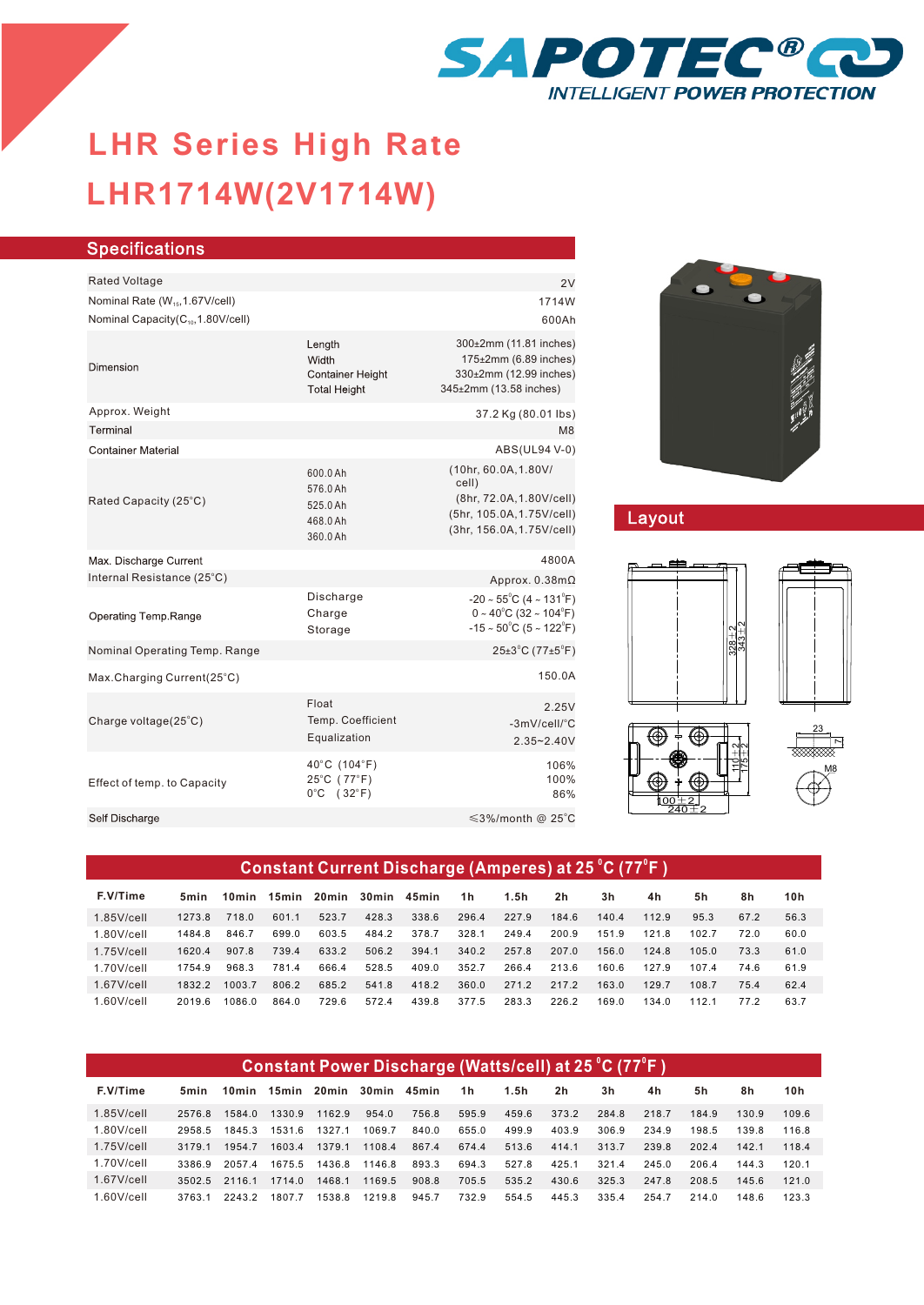

# **LHR1714W(2V1714W) LHR Series-High Rate LHR Series High Rate**

| <b>Specifications</b>                         |                                                                   |                                                                                                                                                   |
|-----------------------------------------------|-------------------------------------------------------------------|---------------------------------------------------------------------------------------------------------------------------------------------------|
| <b>Rated Voltage</b>                          |                                                                   | 2V                                                                                                                                                |
| Nominal Rate (W <sub>15</sub> , 1.67V/cell)   |                                                                   | 1714W                                                                                                                                             |
| Nominal Capacity(C <sub>10</sub> ,1.80V/cell) |                                                                   | 600Ah                                                                                                                                             |
| Dimension                                     | Length<br>Width<br><b>Container Height</b><br><b>Total Height</b> | 300±2mm (11.81 inches)<br>175±2mm (6.89 inches)<br>330±2mm (12.99 inches)<br>345±2mm (13.58 inches)                                               |
| Approx. Weight<br>Terminal                    |                                                                   | 37.2 Kg (80.01 lbs)<br>M <sub>8</sub>                                                                                                             |
| <b>Container Material</b>                     |                                                                   | ABS(UL94 V-0)                                                                                                                                     |
| Rated Capacity (25°C)                         | 600.0 Ah<br>576.0 Ah<br>525.0 Ah<br>468.0 Ah<br>360.0 Ah          | (10hr, 60.0A, 1.80V/<br>cell)<br>(8hr, 72.0A, 1.80V/cell)<br>(5hr, 105.0A, 1.75V/cell)<br>(3hr, 156.0A, 1.75V/cell)                               |
| Max. Discharge Current                        |                                                                   | 4800A                                                                                                                                             |
| Internal Resistance (25°C)                    |                                                                   | Approx. $0.38$ m $\Omega$                                                                                                                         |
| Operating Temp.Range                          | Discharge<br>Charge<br>Storage                                    | $-20 \sim 55^{\circ}$ C (4 ~ 131 $^{\circ}$ F)<br>$0 \sim 40^{\circ}$ C (32 ~ 104 $^{\circ}$ F)<br>$-15 \sim 50^{\circ}$ C (5 ~ 122 $^{\circ}$ F) |
| Nominal Operating Temp. Range                 |                                                                   | $25\pm3$ °C (77 $\pm5$ °F)                                                                                                                        |
| Max.Charging Current(25°C)                    |                                                                   | 150.0A                                                                                                                                            |
| Charge voltage(25°C)                          | Float<br>Temp. Coefficient<br>Equalization                        | 2.25V<br>-3mV/cell/°C<br>$2.35 - 2.40V$                                                                                                           |
| Effect of temp. to Capacity                   | 40°C (104°F)<br>25°C (77°F)<br>$0^{\circ}$ C (32 $^{\circ}$ F)    | 106%<br>100%<br>86%                                                                                                                               |
| Self Discharge                                |                                                                   | $\leq$ 3%/month @ 25°C                                                                                                                            |
|                                               |                                                                   |                                                                                                                                                   |



## Layout



| <b>Constant Current Discharge (Amperes) at 25 °C (77°F)</b> |        |        |       |        |        |       |       |       |                |       |       |       |      |      |
|-------------------------------------------------------------|--------|--------|-------|--------|--------|-------|-------|-------|----------------|-------|-------|-------|------|------|
| F.V/Time                                                    | 5min   | 10min  | 15min | 20 min | 30 min | 45min | 1h    | 1.5h  | 2 <sub>h</sub> | 3h    | 4h    | 5h    | 8h   | 10h  |
| $1.85$ V/cell                                               | 1273.8 | 718.0  | 601.1 | 523.7  | 428.3  | 338.6 | 296.4 | 227.9 | 184.6          | 140.4 | 112.9 | 95.3  | 67.2 | 56.3 |
| $1.80$ V/cell                                               | 1484.8 | 846.7  | 699.0 | 603.5  | 484.2  | 378.7 | 328.1 | 249.4 | 200.9          | 151.9 | 121.8 | 102.7 | 72.0 | 60.0 |
| $1.75$ V/cell                                               | 1620.4 | 907.8  | 739.4 | 633.2  | 506.2  | 394.1 | 340.2 | 257.8 | 207.0          | 156.0 | 124.8 | 105.0 | 73.3 | 61.0 |
| $1.70$ V/cell                                               | 1754.9 | 968.3  | 781.4 | 666.4  | 528.5  | 409.0 | 352.7 | 266.4 | 213.6          | 160.6 | 127.9 | 107.4 | 74.6 | 61.9 |
| $1.67$ V/cell                                               | 1832.2 | 1003.7 | 806.2 | 685.2  | 541.8  | 418.2 | 360.0 | 271.2 | 217.2          | 163.0 | 129.7 | 108.7 | 75.4 | 62.4 |
| $1.60$ V/cell                                               | 2019.6 | 1086.0 | 864.0 | 729.6  | 572.4  | 439.8 | 377.5 | 283.3 | 226.2          | 169.0 | 134.0 | 112.1 | 77.2 | 63.7 |

| Constant Power Discharge (Watts/cell) at 25 °C (77°F) |        |        |        |        |             |       |                |       |                |       |       |       |       |       |
|-------------------------------------------------------|--------|--------|--------|--------|-------------|-------|----------------|-------|----------------|-------|-------|-------|-------|-------|
| F.V/Time                                              | 5min   | 10min  | 15min  | 20min  | 30min 45min |       | 1 <sub>h</sub> | 1.5h  | 2 <sub>h</sub> | 3h    | 4h    | 5h    | 8h    | 10h   |
| $1.85$ V/cell                                         | 2576.8 | 15840  | 1330.9 | 1162.9 | 954.0       | 756.8 | 595.9          | 459.6 | 373.2          | 284.8 | 218.7 | 184.9 | 130.9 | 109.6 |
| $1.80$ V/cell                                         | 2958.5 | 18453  | 1531.6 | 1327.1 | 1069.7      | 840.0 | 655.0          | 499.9 | 403.9          | 306.9 | 234.9 | 198.5 | 139.8 | 116.8 |
| $1.75$ V/cell                                         | 3179.1 | 19547  | 1603.4 | 1379.1 | 11084       | 867.4 | 674.4          | 513.6 | 414.1          | 313.7 | 239.8 | 202.4 | 142.1 | 118.4 |
| $1.70$ V/cell                                         | 3386.9 | 2057.4 | 1675.5 | 1436.8 | 1146.8      | 893.3 | 694.3          | 527.8 | 425.1          | 321.4 | 245.0 | 206.4 | 144.3 | 120.1 |
| $1.67$ V/cell                                         | 35025  | 21161  | 1714.0 | 1468.1 | 1169.5      | 908.8 | 705.5          | 535.2 | 430.6          | 325.3 | 247.8 | 208.5 | 145.6 | 121.0 |
| $1.60$ V/cell                                         | 37631  | 22432  | 1807.7 | 1538.8 | 1219.8      | 945.7 | 732.9          | 554.5 | 445.3          | 335.4 | 254.7 | 214.0 | 148.6 | 123.3 |